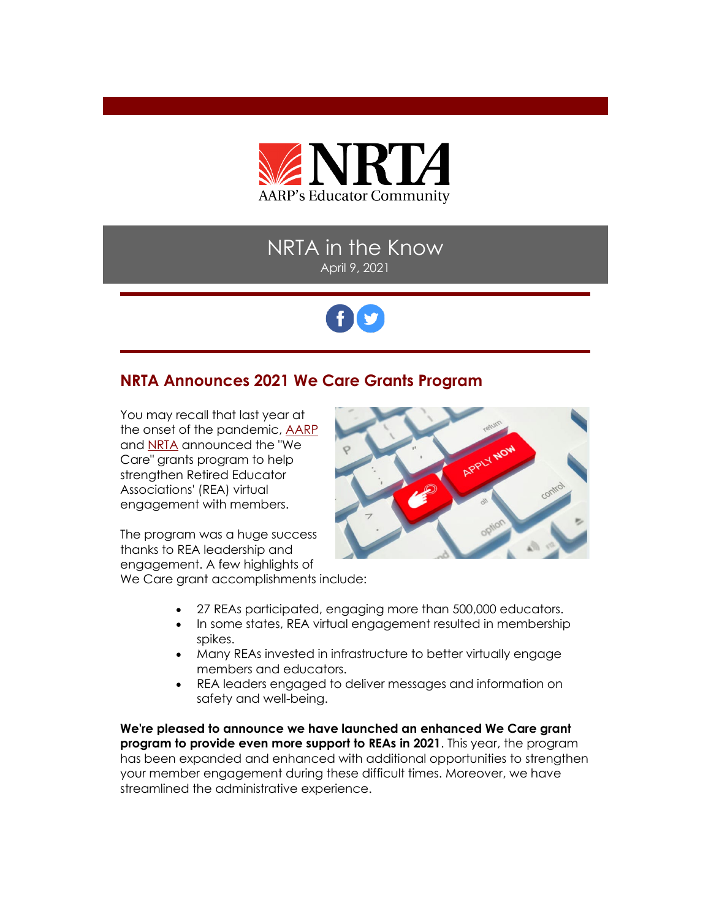

# NRTA in the Know April 9, 2021



## **NRTA Announces 2021 We Care Grants Program**

You may recall that last year at the onset of the pandemic, [AARP](https://www.aarp.org/) and [NRTA](https://www.aarp.org/about-aarp/nrta/?intcmp=FTR-LINKS-PRO-NRTA-EWHERE) announced the "We Care" grants program to help strengthen Retired Educator Associations' (REA) virtual engagement with members.

The program was a huge success thanks to REA leadership and engagement. A few highlights of We Care grant accomplishments include:



- 27 REAs participated, engaging more than 500,000 educators.
- In some states, REA virtual engagement resulted in membership spikes.
- Many REAs invested in infrastructure to better virtually engage members and educators.
- REA leaders engaged to deliver messages and information on safety and well-being.

**We're pleased to announce we have launched an enhanced We Care grant program to provide even more support to REAs in 2021**. This year, the program has been expanded and enhanced with additional opportunities to strengthen your member engagement during these difficult times. Moreover, we have streamlined the administrative experience.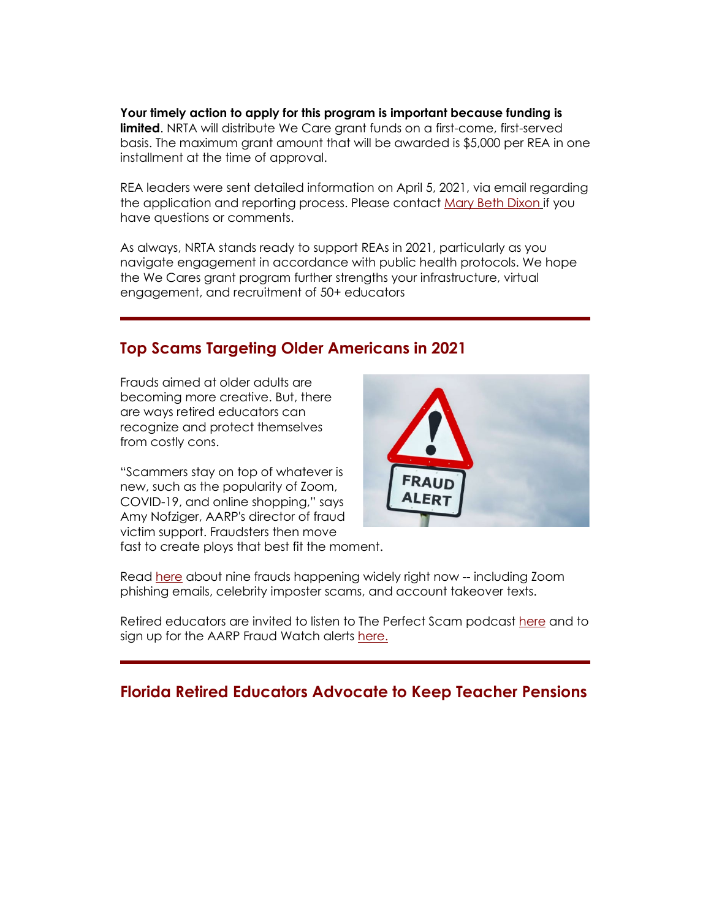**Your timely action to apply for this program is important because funding is limited**. NRTA will distribute We Care grant funds on a first-come, first-served basis. The maximum grant amount that will be awarded is \$5,000 per REA in one installment at the time of approval.

REA leaders were sent detailed information on April 5, 2021, via email regarding the application and reporting process. Please contact [Mary Beth Dixon](mailto:mdixon@aarp.org) if you have questions or comments.

As always, NRTA stands ready to support REAs in 2021, particularly as you navigate engagement in accordance with public health protocols. We hope the We Cares grant program further strengths your infrastructure, virtual engagement, and recruitment of 50+ educators

## **Top Scams Targeting Older Americans in 2021**

Frauds aimed at older adults are becoming more creative. But, there are ways retired educators can recognize and protect themselves from costly cons.

"Scammers stay on top of whatever is new, such as the popularity of Zoom, COVID-19, and online shopping," says Amy Nofziger, AARP's director of fraud victim support. Fraudsters then move fast to create ploys that best fit the moment.



Read [here](https://www.aarp.org/money/scams-fraud/info-2021/schemes-targeting-older-adults.html) about nine frauds happening widely right now -- including Zoom phishing emails, celebrity imposter scams, and account takeover texts.

Retired educators are invited to listen to The Perfect Scam podcast [here](https://www.aarp.org/podcasts/the-perfect-scam/?intcmp=AE-SCM-FRD-SUBNAV-TPS) and to sign up for the AARP Fraud Watch alerts here.

### **Florida Retired Educators Advocate to Keep Teacher Pensions**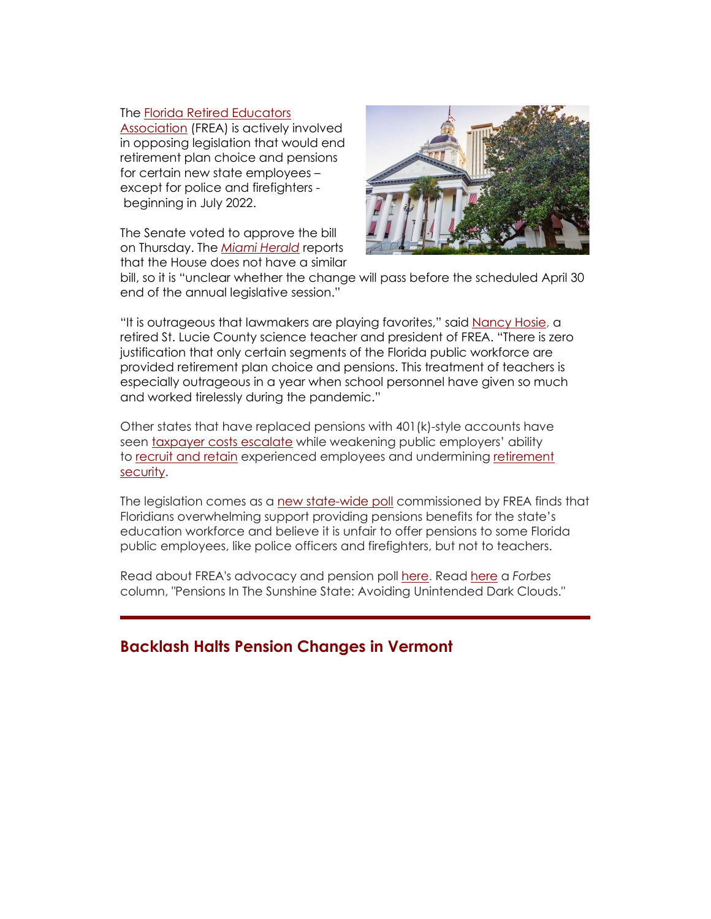#### The [Florida Retired Educators](https://www.frea.org/)

[Association](https://www.frea.org/) (FREA) is actively involved in opposing legislation that would end retirement plan choice and pensions for certain new state employees – except for police and firefighters beginning in July 2022.

The Senate voted to approve the bill on Thursday. The *[Miami Herald](https://www.miamiherald.com/news/politics-government/state-politics/article250520864.html)* reports that the House does not have a similar



bill, so it is "unclear whether the change will pass before the scheduled April 30 end of the annual legislative session."

"It is outrageous that lawmakers are playing favorites," said [Nancy Hosie,](https://www.tcpalm.com/story/opinion/contributors/2021/03/03/pension-change-would-make-florida-teacher-shortage-worse-opinion/6884964002/) a retired St. Lucie County science teacher and president of FREA. "There is zero justification that only certain segments of the Florida public workforce are provided retirement plan choice and pensions. This treatment of teachers is especially outrageous in a year when school personnel have given so much and worked tirelessly during the pandemic."

Other states that have replaced pensions with 401(k)-style accounts have seen [taxpayer costs escalate](https://www.nirsonline.org/2019/08/new-case-studies-find-increased-taxpayer-costs-when-states-move-employees-out-of-pension-plans/) while weakening public employers' ability to [recruit and retain](https://www.nirsonline.org/2019/01/new-study-analyzes-teacher-pension-plans-in-six-states/) experienced employees and undermining [retirement](https://www.nirsonline.org/2017/10/pensions-are-critical-tool-for-recruiting-retaining-teachers-offer-best-path-to-retirement/)  [security.](https://www.nirsonline.org/2017/10/pensions-are-critical-tool-for-recruiting-retaining-teachers-offer-best-path-to-retirement/)

The legislation comes as a [new state-wide poll](https://www.prnewswire.com/news-releases/floridians-strongly-support-pensions-for-public-school-teachers-301250522.html) commissioned by FREA finds that Floridians overwhelming support providing pensions benefits for the state's education workforce and believe it is unfair to offer pensions to some Florida public employees, like police officers and firefighters, but not to teachers.

Read about FREA's advocacy and pension poll [here.](https://www.frea.org/) Read [here](https://www.forbes.com/sites/dandoonan/2021/04/01/pensions-in-the-sunshine-state--avoiding-unintended-dark-clouds/?sh=a4a1dc9657a3) a *Forbes*  column, "Pensions In The Sunshine State: Avoiding Unintended Dark Clouds."

### **Backlash Halts Pension Changes in Vermont**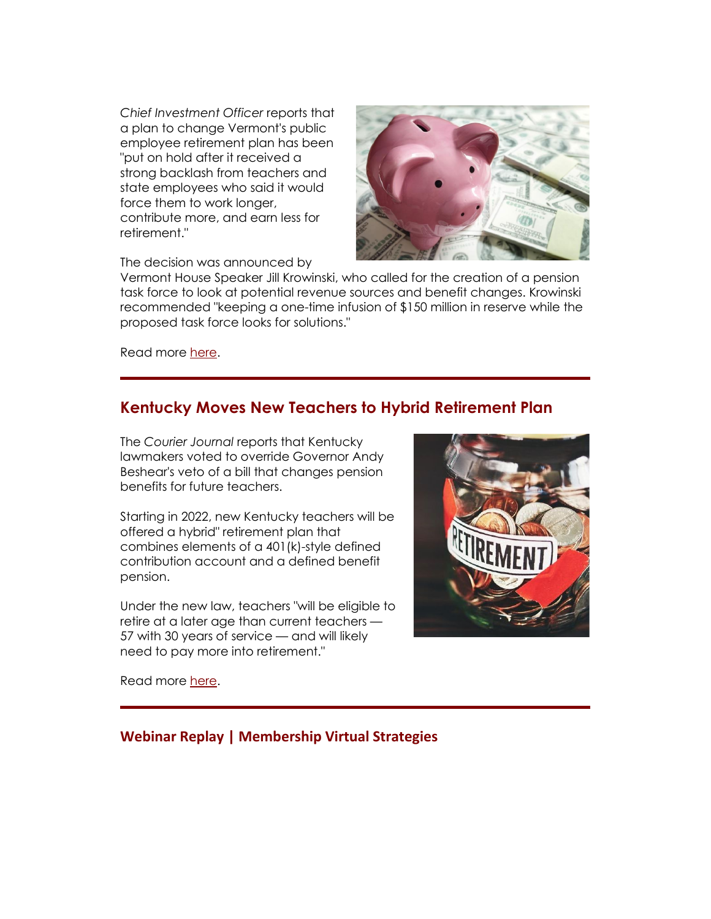*Chief Investment Officer* reports that a plan to change Vermont's public employee retirement plan has been "put on hold after it received a strong backlash from teachers and state employees who said it would force them to work longer, contribute more, and earn less for retirement."



The decision was announced by

Vermont House Speaker Jill Krowinski, who called for the creation of a pension task force to look at potential revenue sources and benefit changes. Krowinski recommended "keeping a one-time infusion of \$150 million in reserve while the proposed task force looks for solutions."

Read more [here.](https://www.ai-cio.com/news/backlash-puts-vermont-pension-reform-hold/)

### **Kentucky Moves New Teachers to Hybrid Retirement Plan**

The *Courier Journal* reports that Kentucky lawmakers voted to override Governor Andy Beshear's veto of a bill that changes pension benefits for future teachers.

Starting in 2022, new Kentucky teachers will be offered a hybrid" retirement plan that combines elements of a 401(k)-style defined contribution account and a defined benefit pension.

Under the new law, teachers "will be eligible to retire at a later age than current teachers — 57 with 30 years of service — and will likely need to pay more into retirement."



Read more [here.](https://www.courier-journal.com/story/news/politics/ky-general-assembly/2021/03/29/kentucky-general-assembly-overrides-teachers-pension-reform-veto/6997915002/)

### **Webinar Replay | Membership Virtual Strategies**